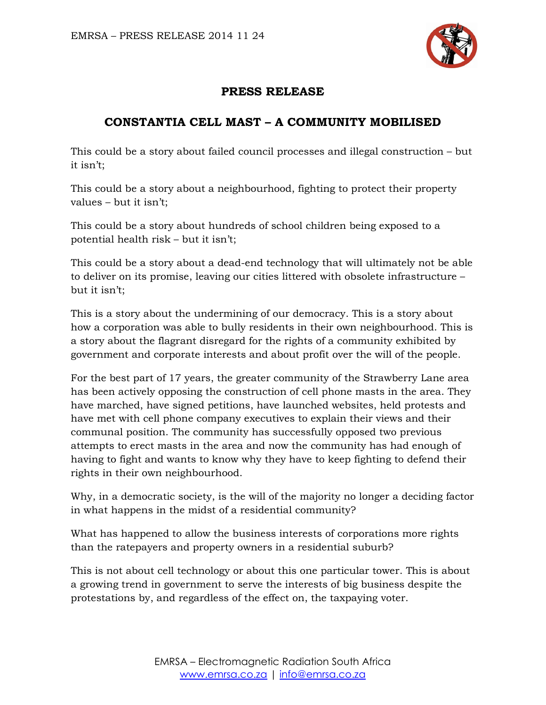

## **PRESS RELEASE**

## **CONSTANTIA CELL MAST – A COMMUNITY MOBILISED**

This could be a story about failed council processes and illegal construction – but it isn't;

This could be a story about a neighbourhood, fighting to protect their property values – but it isn't;

This could be a story about hundreds of school children being exposed to a potential health risk – but it isn't;

This could be a story about a dead-end technology that will ultimately not be able to deliver on its promise, leaving our cities littered with obsolete infrastructure – but it isn't;

This is a story about the undermining of our democracy. This is a story about how a corporation was able to bully residents in their own neighbourhood. This is a story about the flagrant disregard for the rights of a community exhibited by government and corporate interests and about profit over the will of the people.

For the best part of 17 years, the greater community of the Strawberry Lane area has been actively opposing the construction of cell phone masts in the area. They have marched, have signed petitions, have launched websites, held protests and have met with cell phone company executives to explain their views and their communal position. The community has successfully opposed two previous attempts to erect masts in the area and now the community has had enough of having to fight and wants to know why they have to keep fighting to defend their rights in their own neighbourhood.

Why, in a democratic society, is the will of the majority no longer a deciding factor in what happens in the midst of a residential community?

What has happened to allow the business interests of corporations more rights than the ratepayers and property owners in a residential suburb?

This is not about cell technology or about this one particular tower. This is about a growing trend in government to serve the interests of big business despite the protestations by, and regardless of the effect on, the taxpaying voter.